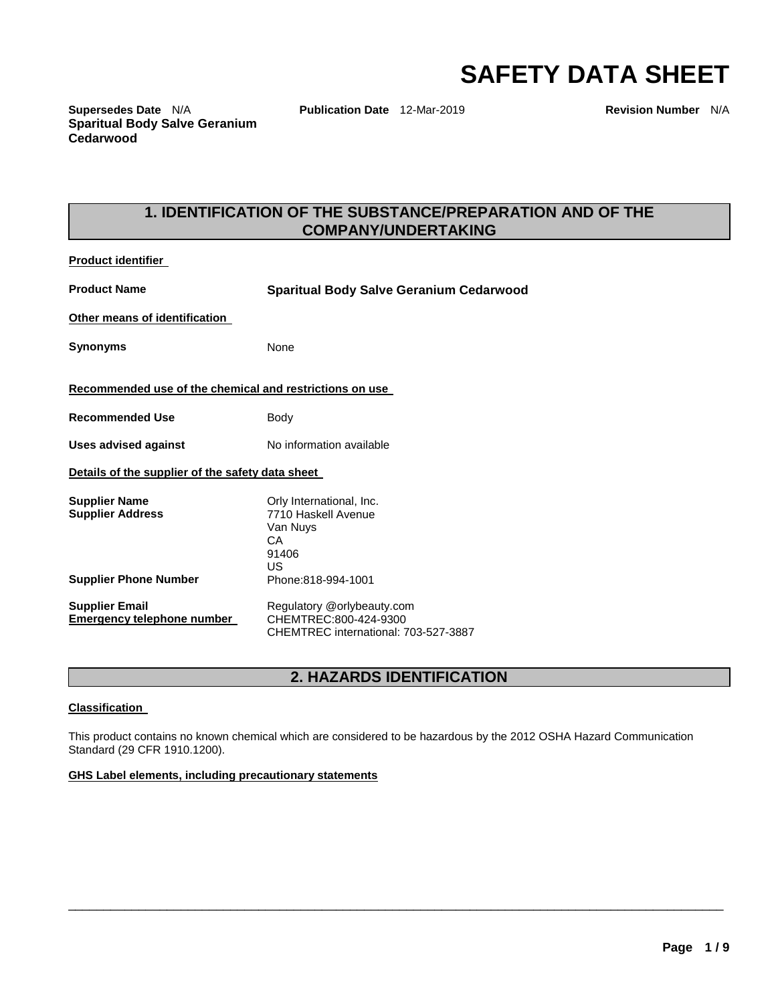# **SAFETY DATA SHEET**

**Supersedes Date** N/A **Publication Date** 12-Mar-2019 **Revision Number** N/A **Sparitual Body Salve Geranium Cedarwood**

# **1. IDENTIFICATION OF THE SUBSTANCE/PREPARATION AND OF THE COMPANY/UNDERTAKING**

| Product identifier                                                              |                                                                                                          |
|---------------------------------------------------------------------------------|----------------------------------------------------------------------------------------------------------|
| <b>Product Name</b>                                                             | <b>Sparitual Body Salve Geranium Cedarwood</b>                                                           |
| Other means of identification                                                   |                                                                                                          |
| <b>Synonyms</b>                                                                 | None                                                                                                     |
| Recommended use of the chemical and restrictions on use                         |                                                                                                          |
| <b>Recommended Use</b>                                                          | Body                                                                                                     |
| <b>Uses advised against</b>                                                     | No information available                                                                                 |
| Details of the supplier of the safety data sheet                                |                                                                                                          |
| <b>Supplier Name</b><br><b>Supplier Address</b><br><b>Supplier Phone Number</b> | Orly International, Inc.<br>7710 Haskell Avenue<br>Van Nuys<br>CA.<br>91406<br>US.<br>Phone:818-994-1001 |
| <b>Supplier Email</b><br><b>Emergency telephone number</b>                      | Regulatory @orlybeauty.com<br>CHEMTREC:800-424-9300<br>CHEMTREC international: 703-527-3887              |

# **2. HAZARDS IDENTIFICATION**

### **Classification**

This product contains no known chemical which are considered to be hazardous by the 2012 OSHA Hazard Communication Standard (29 CFR 1910.1200).

\_\_\_\_\_\_\_\_\_\_\_\_\_\_\_\_\_\_\_\_\_\_\_\_\_\_\_\_\_\_\_\_\_\_\_\_\_\_\_\_\_\_\_\_\_\_\_\_\_\_\_\_\_\_\_\_\_\_\_\_\_\_\_\_\_\_\_\_\_\_\_\_\_\_\_\_\_\_\_\_\_\_\_\_\_\_\_\_\_\_\_\_\_

### **GHS Label elements, including precautionary statements**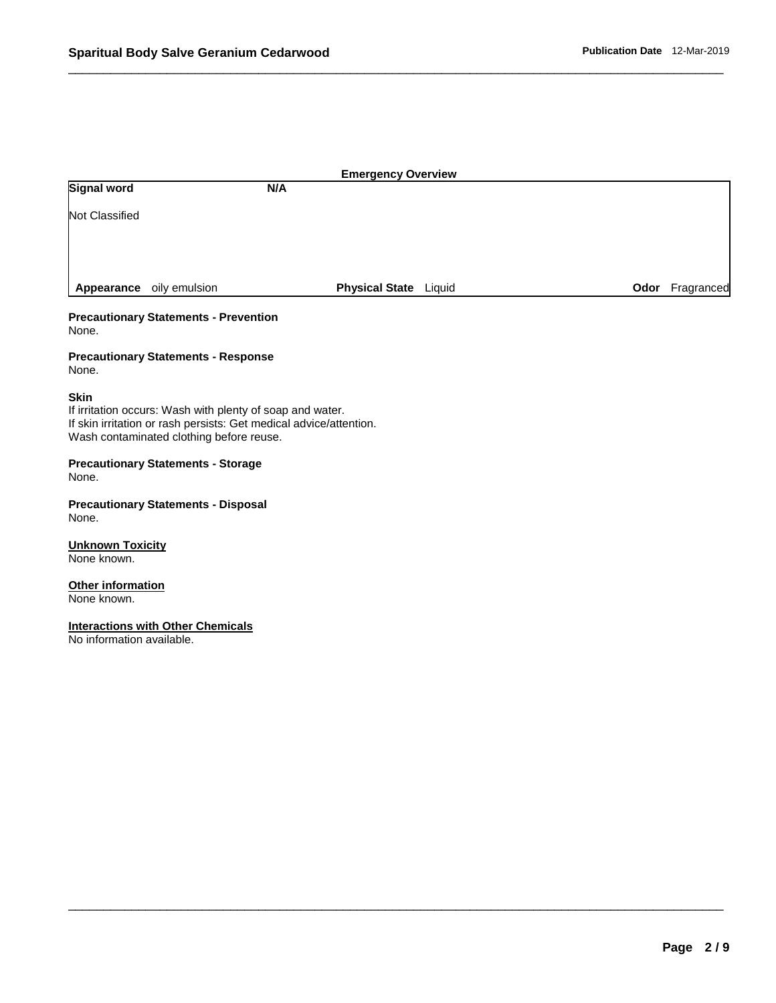| <b>Emergency Overview</b>       |  |     |                              |  |                 |
|---------------------------------|--|-----|------------------------------|--|-----------------|
| <b>Signal word</b>              |  | N/A |                              |  |                 |
| Not Classified                  |  |     |                              |  |                 |
|                                 |  |     |                              |  |                 |
| <b>Appearance</b> oily emulsion |  |     | <b>Physical State</b> Liquid |  | Odor Fragranced |

\_\_\_\_\_\_\_\_\_\_\_\_\_\_\_\_\_\_\_\_\_\_\_\_\_\_\_\_\_\_\_\_\_\_\_\_\_\_\_\_\_\_\_\_\_\_\_\_\_\_\_\_\_\_\_\_\_\_\_\_\_\_\_\_\_\_\_\_\_\_\_\_\_\_\_\_\_\_\_\_\_\_\_\_\_\_\_\_\_\_\_\_\_

\_\_\_\_\_\_\_\_\_\_\_\_\_\_\_\_\_\_\_\_\_\_\_\_\_\_\_\_\_\_\_\_\_\_\_\_\_\_\_\_\_\_\_\_\_\_\_\_\_\_\_\_\_\_\_\_\_\_\_\_\_\_\_\_\_\_\_\_\_\_\_\_\_\_\_\_\_\_\_\_\_\_\_\_\_\_\_\_\_\_\_\_\_

# **Precautionary Statements - Prevention**

None.

### **Precautionary Statements - Response** None.

#### **Skin**

If irritation occurs: Wash with plenty of soap and water. If skin irritation or rash persists: Get medical advice/attention. Wash contaminated clothing before reuse.

#### **Precautionary Statements - Storage** None.

**Precautionary Statements - Disposal** None.

# **Unknown Toxicity**

None known.

#### **Other information** None known.

**Interactions with Other Chemicals**

No information available.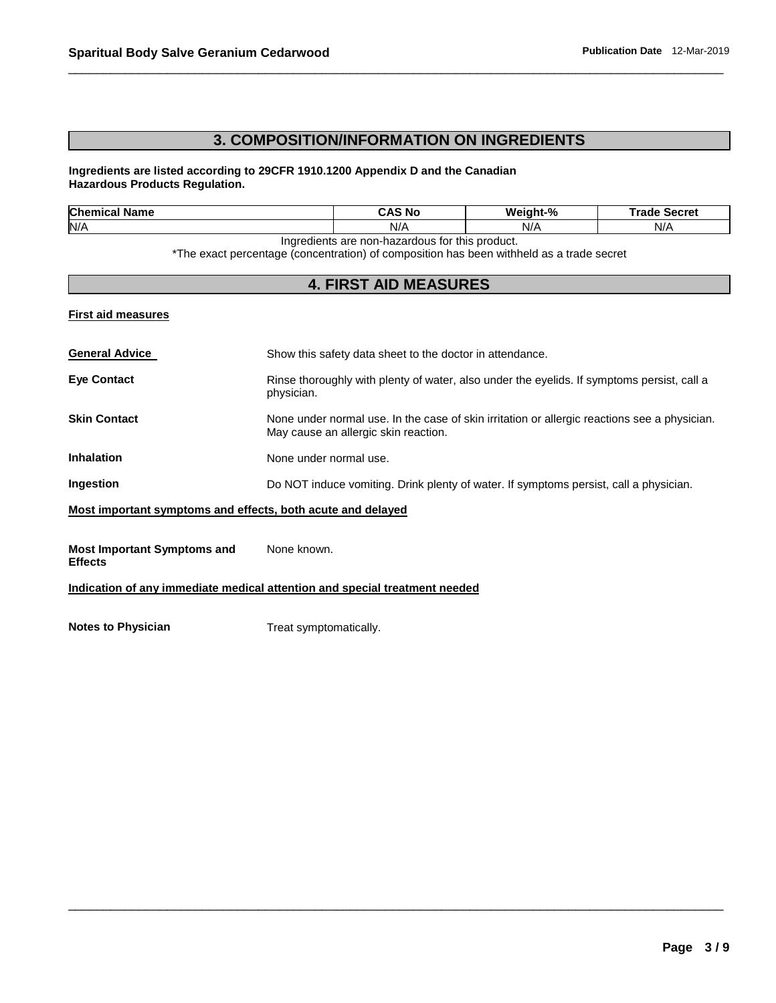# **3. COMPOSITION/INFORMATION ON INGREDIENTS**

\_\_\_\_\_\_\_\_\_\_\_\_\_\_\_\_\_\_\_\_\_\_\_\_\_\_\_\_\_\_\_\_\_\_\_\_\_\_\_\_\_\_\_\_\_\_\_\_\_\_\_\_\_\_\_\_\_\_\_\_\_\_\_\_\_\_\_\_\_\_\_\_\_\_\_\_\_\_\_\_\_\_\_\_\_\_\_\_\_\_\_\_\_

**Ingredients are listed according to 29CFR 1910.1200 Appendix D and the Canadian Hazardous Products Regulation.**

| <b>Chemica</b><br>Name                         | ີ AS No | Weight-% | <b>Secret</b><br>T |
|------------------------------------------------|---------|----------|--------------------|
| N/A                                            | N/A     | N/A      | N/A                |
| Ingradiante are non bezardous for this product |         |          |                    |

Ingredients are non-hazardous for this product. \*The exact percentage (concentration) of composition has been withheld as a trade secret

# **4. FIRST AID MEASURES**

**First aid measures**

| <b>General Advice</b>                                                      | Show this safety data sheet to the doctor in attendance.                                                                             |  |
|----------------------------------------------------------------------------|--------------------------------------------------------------------------------------------------------------------------------------|--|
| <b>Eye Contact</b>                                                         | Rinse thoroughly with plenty of water, also under the eyelids. If symptoms persist, call a<br>physician.                             |  |
| <b>Skin Contact</b>                                                        | None under normal use. In the case of skin irritation or allergic reactions see a physician.<br>May cause an allergic skin reaction. |  |
| <b>Inhalation</b>                                                          | None under normal use.                                                                                                               |  |
| Ingestion                                                                  | Do NOT induce vomiting. Drink plenty of water. If symptoms persist, call a physician.                                                |  |
| Most important symptoms and effects, both acute and delayed                |                                                                                                                                      |  |
| <b>Most Important Symptoms and</b><br><b>Effects</b>                       | None known.                                                                                                                          |  |
| Indication of any immediate medical attention and special treatment needed |                                                                                                                                      |  |

\_\_\_\_\_\_\_\_\_\_\_\_\_\_\_\_\_\_\_\_\_\_\_\_\_\_\_\_\_\_\_\_\_\_\_\_\_\_\_\_\_\_\_\_\_\_\_\_\_\_\_\_\_\_\_\_\_\_\_\_\_\_\_\_\_\_\_\_\_\_\_\_\_\_\_\_\_\_\_\_\_\_\_\_\_\_\_\_\_\_\_\_\_

**Notes to Physician**  Treat symptomatically.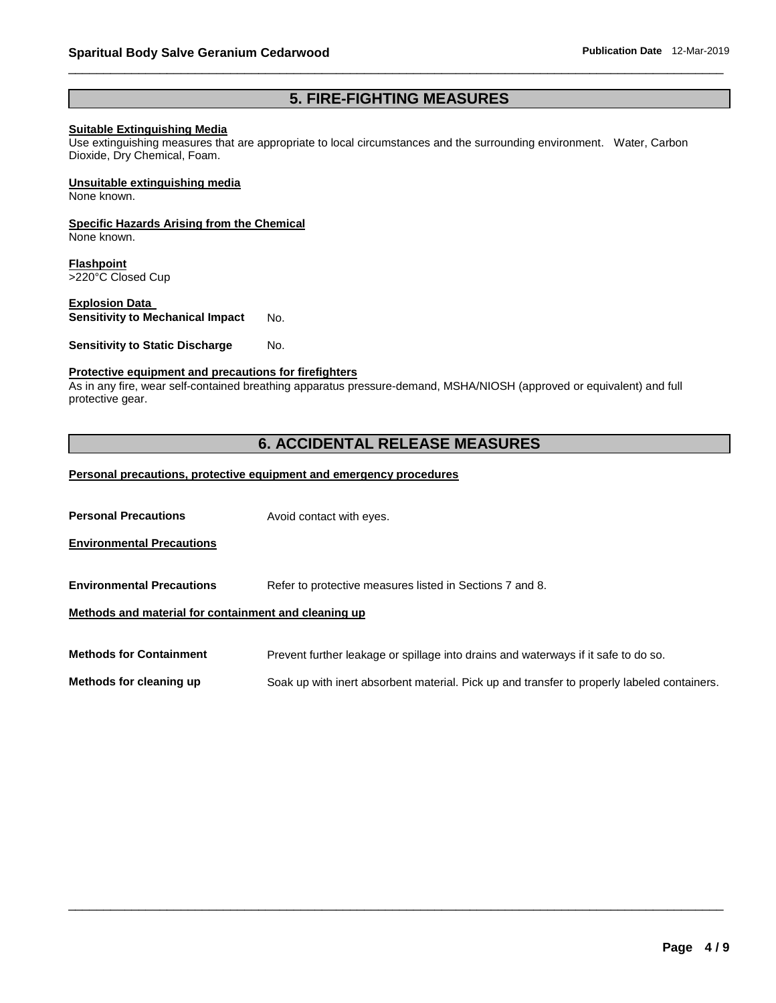# **5. FIRE-FIGHTING MEASURES**

\_\_\_\_\_\_\_\_\_\_\_\_\_\_\_\_\_\_\_\_\_\_\_\_\_\_\_\_\_\_\_\_\_\_\_\_\_\_\_\_\_\_\_\_\_\_\_\_\_\_\_\_\_\_\_\_\_\_\_\_\_\_\_\_\_\_\_\_\_\_\_\_\_\_\_\_\_\_\_\_\_\_\_\_\_\_\_\_\_\_\_\_\_

#### **Suitable Extinguishing Media**

Use extinguishing measures that are appropriate to local circumstances and the surrounding environment. Water, Carbon Dioxide, Dry Chemical, Foam.

#### **Unsuitable extinguishing media**

None known.

# **Specific Hazards Arising from the Chemical**

None known.

**Flashpoint** >220°C Closed Cup

#### **Explosion Data Sensitivity to Mechanical Impact No.**

**Sensitivity to Static Discharge Mo.** 

### **Protective equipment and precautions for firefighters**

As in any fire, wear self-contained breathing apparatus pressure-demand, MSHA/NIOSH (approved or equivalent) and full protective gear.

# **6. ACCIDENTAL RELEASE MEASURES**

### **Personal precautions, protective equipment and emergency procedures**

| <b>Personal Precautions</b>                          | Avoid contact with eyes.                                                                    |
|------------------------------------------------------|---------------------------------------------------------------------------------------------|
| <b>Environmental Precautions</b>                     |                                                                                             |
|                                                      |                                                                                             |
| <b>Environmental Precautions</b>                     | Refer to protective measures listed in Sections 7 and 8.                                    |
| Methods and material for containment and cleaning up |                                                                                             |
|                                                      |                                                                                             |
| <b>Methods for Containment</b>                       | Prevent further leakage or spillage into drains and waterways if it safe to do so.          |
| Methods for cleaning up                              | Soak up with inert absorbent material. Pick up and transfer to properly labeled containers. |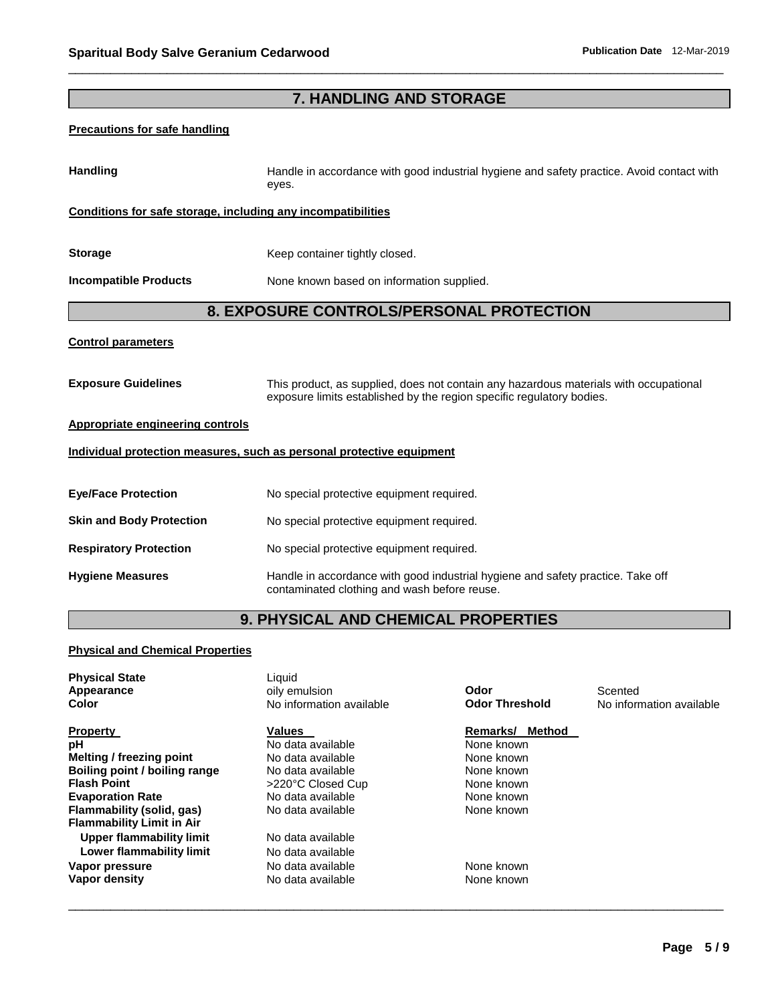# **7. HANDLING AND STORAGE**

\_\_\_\_\_\_\_\_\_\_\_\_\_\_\_\_\_\_\_\_\_\_\_\_\_\_\_\_\_\_\_\_\_\_\_\_\_\_\_\_\_\_\_\_\_\_\_\_\_\_\_\_\_\_\_\_\_\_\_\_\_\_\_\_\_\_\_\_\_\_\_\_\_\_\_\_\_\_\_\_\_\_\_\_\_\_\_\_\_\_\_\_\_

# **Precautions for safe handling**

| <b>Handling</b>                                                       | Handle in accordance with good industrial hygiene and safety practice. Avoid contact with<br>eyes.                                                             |
|-----------------------------------------------------------------------|----------------------------------------------------------------------------------------------------------------------------------------------------------------|
| Conditions for safe storage, including any incompatibilities          |                                                                                                                                                                |
| <b>Storage</b>                                                        | Keep container tightly closed.                                                                                                                                 |
| <b>Incompatible Products</b>                                          | None known based on information supplied.                                                                                                                      |
|                                                                       | 8. EXPOSURE CONTROLS/PERSONAL PROTECTION                                                                                                                       |
| <b>Control parameters</b>                                             |                                                                                                                                                                |
| <b>Exposure Guidelines</b>                                            | This product, as supplied, does not contain any hazardous materials with occupational<br>exposure limits established by the region specific regulatory bodies. |
| <b>Appropriate engineering controls</b>                               |                                                                                                                                                                |
| Individual protection measures, such as personal protective equipment |                                                                                                                                                                |
| <b>Eye/Face Protection</b>                                            | No special protective equipment required.                                                                                                                      |
| <b>Skin and Body Protection</b>                                       | No special protective equipment required.                                                                                                                      |
| <b>Respiratory Protection</b>                                         | No special protective equipment required.                                                                                                                      |
| <b>Hygiene Measures</b>                                               | Handle in accordance with good industrial hygiene and safety practice. Take off<br>contaminated clothing and wash before reuse.                                |

# **9. PHYSICAL AND CHEMICAL PROPERTIES**

# **Physical and Chemical Properties**

| <b>Physical State</b><br>Appearance<br><b>Color</b> | Liquid<br>oily emulsion<br>No information available | Odor<br><b>Odor Threshold</b> | Scented<br>No information available |
|-----------------------------------------------------|-----------------------------------------------------|-------------------------------|-------------------------------------|
| <b>Property</b>                                     | Values                                              | Remarks/ Method               |                                     |
| рH                                                  | No data available                                   | None known                    |                                     |
| <b>Melting / freezing point</b>                     | No data available                                   | None known                    |                                     |
| Boiling point / boiling range                       | No data available                                   | None known                    |                                     |
| <b>Flash Point</b>                                  | >220°C Closed Cup                                   | None known                    |                                     |
| <b>Evaporation Rate</b>                             | No data available                                   | None known                    |                                     |
| Flammability (solid, gas)                           | No data available                                   | None known                    |                                     |
| <b>Flammability Limit in Air</b>                    |                                                     |                               |                                     |
| Upper flammability limit                            | No data available                                   |                               |                                     |
| Lower flammability limit                            | No data available                                   |                               |                                     |
| Vapor pressure                                      | No data available                                   | None known                    |                                     |
| Vapor density                                       | No data available                                   | None known                    |                                     |
|                                                     |                                                     |                               |                                     |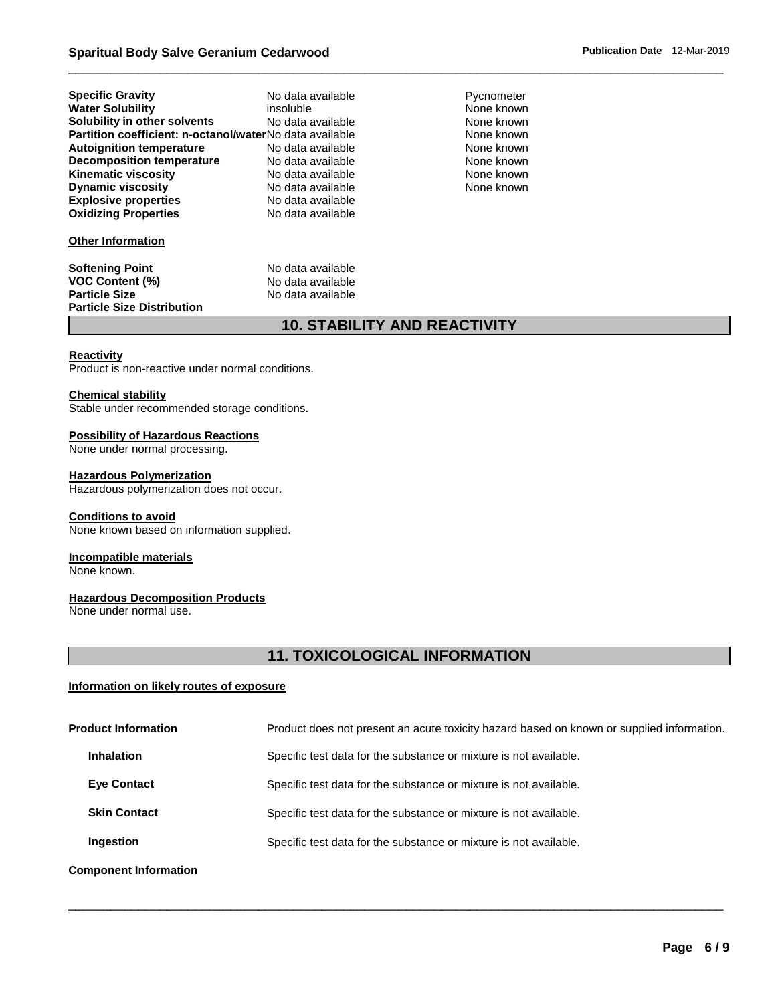| <b>Specific Gravity</b>                                 | No data available |
|---------------------------------------------------------|-------------------|
| <b>Water Solubility</b>                                 | insoluble         |
| Solubility in other solvents                            | No data available |
| Partition coefficient: n-octanol/waterNo data available |                   |
| <b>Autoignition temperature</b>                         | No data available |
| <b>Decomposition temperature</b>                        | No data available |
| <b>Kinematic viscosity</b>                              | No data available |
| <b>Dynamic viscosity</b>                                | No data available |
| <b>Explosive properties</b>                             | No data available |
| <b>Oxidizing Properties</b>                             | No data available |
|                                                         |                   |

#### **Other Information**

**Softening Point No data available**<br> **No data available**<br>
No data available **VOC Content (%)**<br>Particle Size **Particle Size Distribution** 

**Particle Size** No data available

**Pycnometer None known None known None known None known None known None known None known** 

# **10. STABILITY AND REACTIVITY**

\_\_\_\_\_\_\_\_\_\_\_\_\_\_\_\_\_\_\_\_\_\_\_\_\_\_\_\_\_\_\_\_\_\_\_\_\_\_\_\_\_\_\_\_\_\_\_\_\_\_\_\_\_\_\_\_\_\_\_\_\_\_\_\_\_\_\_\_\_\_\_\_\_\_\_\_\_\_\_\_\_\_\_\_\_\_\_\_\_\_\_\_\_

#### **Reactivity**

Product is non-reactive under normal conditions.

#### **Chemical stability**

Stable under recommended storage conditions.

#### **Possibility of Hazardous Reactions**

None under normal processing.

#### **Hazardous Polymerization**

Hazardous polymerization does not occur.

#### **Conditions to avoid**

None known based on information supplied.

#### **Incompatible materials**

None known.

### **Hazardous Decomposition Products**

None under normal use.

# **11. TOXICOLOGICAL INFORMATION**

### **Information on likely routes of exposure**

| <b>Component Information</b> |                                                                                           |
|------------------------------|-------------------------------------------------------------------------------------------|
| Ingestion                    | Specific test data for the substance or mixture is not available.                         |
| <b>Skin Contact</b>          | Specific test data for the substance or mixture is not available.                         |
| <b>Eye Contact</b>           | Specific test data for the substance or mixture is not available.                         |
| <b>Inhalation</b>            | Specific test data for the substance or mixture is not available.                         |
| <b>Product Information</b>   | Product does not present an acute toxicity hazard based on known or supplied information. |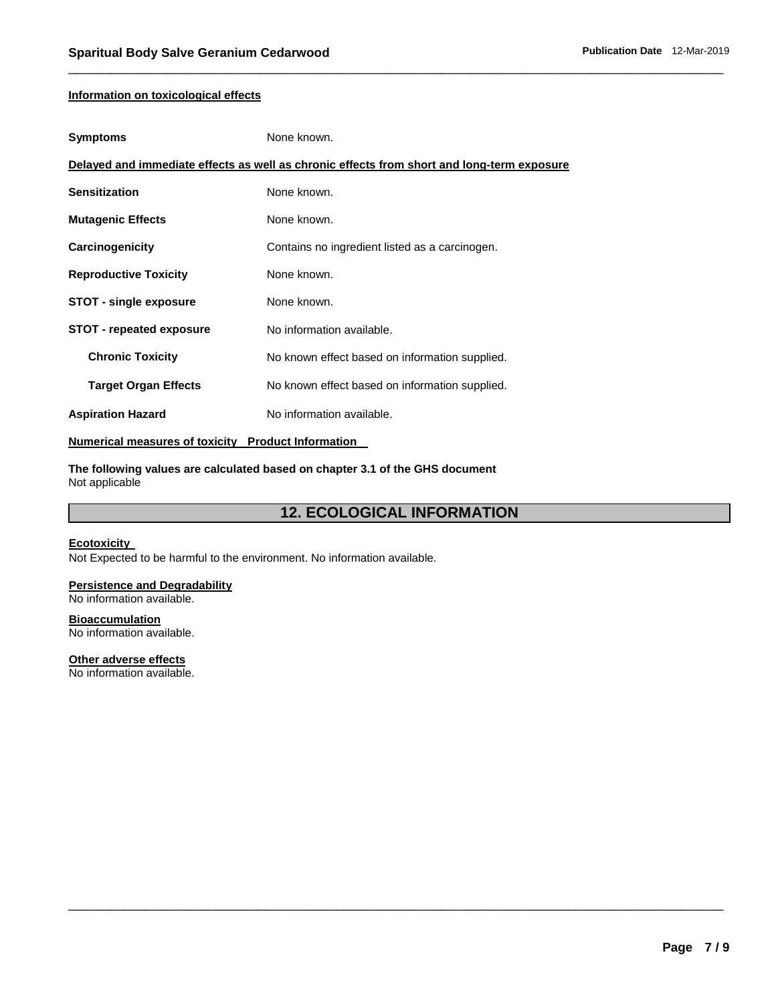#### **Information on toxicological effects**

| <b>Symptoms</b>                 | None known.                                                                                |  |  |  |
|---------------------------------|--------------------------------------------------------------------------------------------|--|--|--|
|                                 | Delayed and immediate effects as well as chronic effects from short and long-term exposure |  |  |  |
| <b>Sensitization</b>            | None known.                                                                                |  |  |  |
| <b>Mutagenic Effects</b>        | None known.                                                                                |  |  |  |
| Carcinogenicity                 | Contains no ingredient listed as a carcinogen.                                             |  |  |  |
| <b>Reproductive Toxicity</b>    | None known.                                                                                |  |  |  |
| <b>STOT - single exposure</b>   | None known.                                                                                |  |  |  |
| <b>STOT - repeated exposure</b> | No information available.                                                                  |  |  |  |
| <b>Chronic Toxicity</b>         | No known effect based on information supplied.                                             |  |  |  |
| <b>Target Organ Effects</b>     | No known effect based on information supplied.                                             |  |  |  |
| <b>Aspiration Hazard</b>        | No information available.                                                                  |  |  |  |

### **Numerical measures of toxicity Product Information**

**The following values are calculated based on chapter 3.1 of the GHS document** Not applicable

# **12. ECOLOGICAL INFORMATION**

\_\_\_\_\_\_\_\_\_\_\_\_\_\_\_\_\_\_\_\_\_\_\_\_\_\_\_\_\_\_\_\_\_\_\_\_\_\_\_\_\_\_\_\_\_\_\_\_\_\_\_\_\_\_\_\_\_\_\_\_\_\_\_\_\_\_\_\_\_\_\_\_\_\_\_\_\_\_\_\_\_\_\_\_\_\_\_\_\_\_\_\_\_

\_\_\_\_\_\_\_\_\_\_\_\_\_\_\_\_\_\_\_\_\_\_\_\_\_\_\_\_\_\_\_\_\_\_\_\_\_\_\_\_\_\_\_\_\_\_\_\_\_\_\_\_\_\_\_\_\_\_\_\_\_\_\_\_\_\_\_\_\_\_\_\_\_\_\_\_\_\_\_\_\_\_\_\_\_\_\_\_\_\_\_\_\_

### **Ecotoxicity**

Not Expected to be harmful to the environment. No information available.

### **Persistence and Degradability**

No information available.

**Bioaccumulation** No information available.

### **Other adverse effects**

No information available.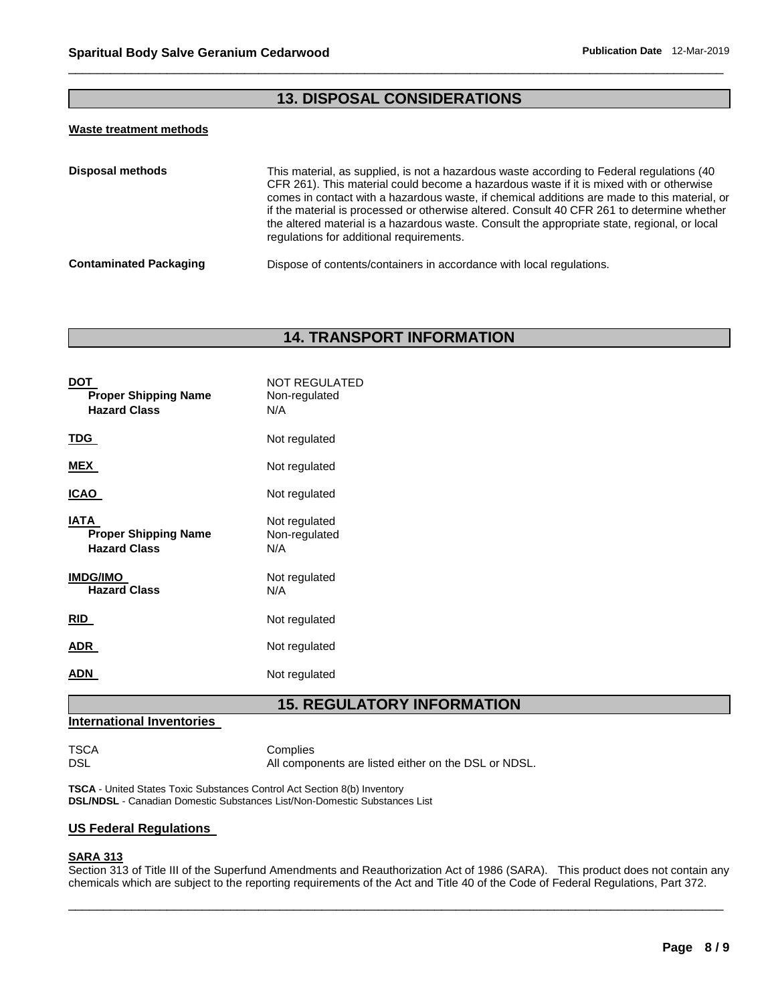# **13. DISPOSAL CONSIDERATIONS**

\_\_\_\_\_\_\_\_\_\_\_\_\_\_\_\_\_\_\_\_\_\_\_\_\_\_\_\_\_\_\_\_\_\_\_\_\_\_\_\_\_\_\_\_\_\_\_\_\_\_\_\_\_\_\_\_\_\_\_\_\_\_\_\_\_\_\_\_\_\_\_\_\_\_\_\_\_\_\_\_\_\_\_\_\_\_\_\_\_\_\_\_\_

#### **Waste treatment methods**

| <b>Disposal methods</b>       | This material, as supplied, is not a hazardous waste according to Federal regulations (40<br>CFR 261). This material could become a hazardous waste if it is mixed with or otherwise<br>comes in contact with a hazardous waste, if chemical additions are made to this material, or<br>if the material is processed or otherwise altered. Consult 40 CFR 261 to determine whether<br>the altered material is a hazardous waste. Consult the appropriate state, regional, or local<br>regulations for additional requirements. |
|-------------------------------|--------------------------------------------------------------------------------------------------------------------------------------------------------------------------------------------------------------------------------------------------------------------------------------------------------------------------------------------------------------------------------------------------------------------------------------------------------------------------------------------------------------------------------|
| <b>Contaminated Packaging</b> | Dispose of contents/containers in accordance with local regulations.                                                                                                                                                                                                                                                                                                                                                                                                                                                           |

# **14. TRANSPORT INFORMATION**

| DOT<br><b>Proper Shipping Name</b><br><b>Hazard Class</b>  | <b>NOT REGULATED</b><br>Non-regulated<br>N/A |
|------------------------------------------------------------|----------------------------------------------|
| <b>TDG</b>                                                 | Not regulated                                |
| MEX                                                        | Not regulated                                |
| ICAO                                                       | Not regulated                                |
| IATA<br><b>Proper Shipping Name</b><br><b>Hazard Class</b> | Not regulated<br>Non-regulated<br>N/A        |
| <b>IMDG/IMO</b><br><b>Hazard Class</b>                     | Not regulated<br>N/A                         |
| <b>RID</b>                                                 | Not regulated                                |
| ADR                                                        | Not regulated                                |
| ADN                                                        | Not regulated                                |
|                                                            |                                              |

# **15. REGULATORY INFORMATION**

#### **International Inventories**

TSCA Complies

DSL DSL **DISPUTE 2018** All components are listed either on the DSL or NDSL.

**TSCA** - United States Toxic Substances Control Act Section 8(b) Inventory **DSL/NDSL** - Canadian Domestic Substances List/Non-Domestic Substances List

### **US Federal Regulations**

### **SARA 313**

Section 313 of Title III of the Superfund Amendments and Reauthorization Act of 1986 (SARA). This product does not contain any chemicals which are subject to the reporting requirements of the Act and Title 40 of the Code of Federal Regulations, Part 372.